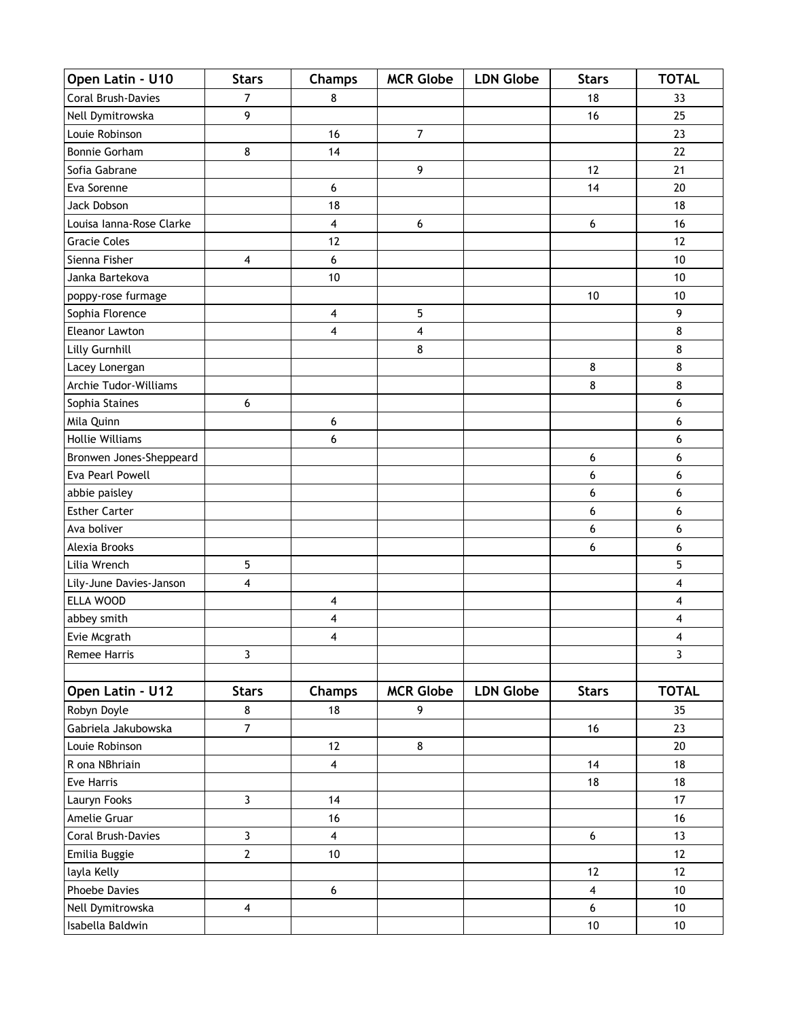| Coral Brush-Davies<br>7<br>8<br>18<br>33<br>9<br>Nell Dymitrowska<br>16<br>25<br>Louie Robinson<br>$\overline{7}$<br>23<br>16<br>8<br>22<br><b>Bonnie Gorham</b><br>14<br>9<br>21<br>Sofia Gabrane<br>12<br>Eva Sorenne<br>14<br>20<br>$\boldsymbol{6}$<br>Jack Dobson<br>18<br>18<br>6<br>16<br>Louisa Ianna-Rose Clarke<br>4<br>6<br><b>Gracie Coles</b><br>12<br>12<br>Sienna Fisher<br>6<br>10<br>4<br>10<br>10<br>Janka Bartekova<br>poppy-rose furmage<br>10<br>10<br>9<br>Sophia Florence<br>5<br>4<br>$\overline{\mathbf{4}}$<br>$\overline{\mathbf{4}}$<br>8<br><b>Eleanor Lawton</b><br>Lilly Gurnhill<br>8<br>8<br>8<br>8<br>Lacey Lonergan<br>8<br>Archie Tudor-Williams<br>8<br>Sophia Staines<br>6<br>6<br>Mila Quinn<br>6<br>6<br>6<br><b>Hollie Williams</b><br>6<br>Bronwen Jones-Sheppeard<br>6<br>6<br>Eva Pearl Powell<br>6<br>6<br>6<br>6<br>abbie paisley<br><b>Esther Carter</b><br>6<br>6<br>Ava boliver<br>6<br>6<br>Alexia Brooks<br>6<br>6<br>5<br>5<br>Lilia Wrench<br>Lily-June Davies-Janson<br>4<br>4<br>ELLA WOOD<br>4<br>4<br>abbey smith<br>4<br>4<br>Evie Mcgrath<br>4<br>4<br>Remee Harris<br>3<br>$\mathbf{3}$<br><b>MCR Globe</b><br><b>LDN Globe</b><br><b>TOTAL</b><br>Open Latin - U12<br><b>Stars</b><br><b>Champs</b><br><b>Stars</b><br>Robyn Doyle<br>18<br>9<br>8<br>35<br>Gabriela Jakubowska<br>$\overline{7}$<br>16<br>23<br>8<br>Louie Robinson<br>12<br>20<br>$\overline{4}$<br>18<br>R ona NBhriain<br>14<br>Eve Harris<br>18<br>18<br>$\overline{3}$<br>Lauryn Fooks<br>17<br>14<br>16<br>Amelie Gruar<br>16<br>$\mathbf{3}$<br>Coral Brush-Davies<br>$\overline{\mathbf{4}}$<br>13<br>6<br>$\overline{2}$<br>Emilia Buggie<br>10<br>12<br>12<br>12<br>layla Kelly<br>Phoebe Davies<br>$10\,$<br>6<br>$\overline{\mathbf{4}}$<br>Nell Dymitrowska<br>$\overline{\mathbf{4}}$<br>$6\phantom{a}$<br>10 | Open Latin - U10 | <b>Stars</b> | <b>Champs</b> | <b>MCR Globe</b> | <b>LDN Globe</b> | <b>Stars</b> | <b>TOTAL</b> |
|-----------------------------------------------------------------------------------------------------------------------------------------------------------------------------------------------------------------------------------------------------------------------------------------------------------------------------------------------------------------------------------------------------------------------------------------------------------------------------------------------------------------------------------------------------------------------------------------------------------------------------------------------------------------------------------------------------------------------------------------------------------------------------------------------------------------------------------------------------------------------------------------------------------------------------------------------------------------------------------------------------------------------------------------------------------------------------------------------------------------------------------------------------------------------------------------------------------------------------------------------------------------------------------------------------------------------------------------------------------------------------------------------------------------------------------------------------------------------------------------------------------------------------------------------------------------------------------------------------------------------------------------------------------------------------------------------------------------------------------------------------------------------------------------------------------------------------------------------------------|------------------|--------------|---------------|------------------|------------------|--------------|--------------|
|                                                                                                                                                                                                                                                                                                                                                                                                                                                                                                                                                                                                                                                                                                                                                                                                                                                                                                                                                                                                                                                                                                                                                                                                                                                                                                                                                                                                                                                                                                                                                                                                                                                                                                                                                                                                                                                           |                  |              |               |                  |                  |              |              |
|                                                                                                                                                                                                                                                                                                                                                                                                                                                                                                                                                                                                                                                                                                                                                                                                                                                                                                                                                                                                                                                                                                                                                                                                                                                                                                                                                                                                                                                                                                                                                                                                                                                                                                                                                                                                                                                           |                  |              |               |                  |                  |              |              |
|                                                                                                                                                                                                                                                                                                                                                                                                                                                                                                                                                                                                                                                                                                                                                                                                                                                                                                                                                                                                                                                                                                                                                                                                                                                                                                                                                                                                                                                                                                                                                                                                                                                                                                                                                                                                                                                           |                  |              |               |                  |                  |              |              |
|                                                                                                                                                                                                                                                                                                                                                                                                                                                                                                                                                                                                                                                                                                                                                                                                                                                                                                                                                                                                                                                                                                                                                                                                                                                                                                                                                                                                                                                                                                                                                                                                                                                                                                                                                                                                                                                           |                  |              |               |                  |                  |              |              |
|                                                                                                                                                                                                                                                                                                                                                                                                                                                                                                                                                                                                                                                                                                                                                                                                                                                                                                                                                                                                                                                                                                                                                                                                                                                                                                                                                                                                                                                                                                                                                                                                                                                                                                                                                                                                                                                           |                  |              |               |                  |                  |              |              |
|                                                                                                                                                                                                                                                                                                                                                                                                                                                                                                                                                                                                                                                                                                                                                                                                                                                                                                                                                                                                                                                                                                                                                                                                                                                                                                                                                                                                                                                                                                                                                                                                                                                                                                                                                                                                                                                           |                  |              |               |                  |                  |              |              |
|                                                                                                                                                                                                                                                                                                                                                                                                                                                                                                                                                                                                                                                                                                                                                                                                                                                                                                                                                                                                                                                                                                                                                                                                                                                                                                                                                                                                                                                                                                                                                                                                                                                                                                                                                                                                                                                           |                  |              |               |                  |                  |              |              |
|                                                                                                                                                                                                                                                                                                                                                                                                                                                                                                                                                                                                                                                                                                                                                                                                                                                                                                                                                                                                                                                                                                                                                                                                                                                                                                                                                                                                                                                                                                                                                                                                                                                                                                                                                                                                                                                           |                  |              |               |                  |                  |              |              |
|                                                                                                                                                                                                                                                                                                                                                                                                                                                                                                                                                                                                                                                                                                                                                                                                                                                                                                                                                                                                                                                                                                                                                                                                                                                                                                                                                                                                                                                                                                                                                                                                                                                                                                                                                                                                                                                           |                  |              |               |                  |                  |              |              |
|                                                                                                                                                                                                                                                                                                                                                                                                                                                                                                                                                                                                                                                                                                                                                                                                                                                                                                                                                                                                                                                                                                                                                                                                                                                                                                                                                                                                                                                                                                                                                                                                                                                                                                                                                                                                                                                           |                  |              |               |                  |                  |              |              |
|                                                                                                                                                                                                                                                                                                                                                                                                                                                                                                                                                                                                                                                                                                                                                                                                                                                                                                                                                                                                                                                                                                                                                                                                                                                                                                                                                                                                                                                                                                                                                                                                                                                                                                                                                                                                                                                           |                  |              |               |                  |                  |              |              |
|                                                                                                                                                                                                                                                                                                                                                                                                                                                                                                                                                                                                                                                                                                                                                                                                                                                                                                                                                                                                                                                                                                                                                                                                                                                                                                                                                                                                                                                                                                                                                                                                                                                                                                                                                                                                                                                           |                  |              |               |                  |                  |              |              |
|                                                                                                                                                                                                                                                                                                                                                                                                                                                                                                                                                                                                                                                                                                                                                                                                                                                                                                                                                                                                                                                                                                                                                                                                                                                                                                                                                                                                                                                                                                                                                                                                                                                                                                                                                                                                                                                           |                  |              |               |                  |                  |              |              |
|                                                                                                                                                                                                                                                                                                                                                                                                                                                                                                                                                                                                                                                                                                                                                                                                                                                                                                                                                                                                                                                                                                                                                                                                                                                                                                                                                                                                                                                                                                                                                                                                                                                                                                                                                                                                                                                           |                  |              |               |                  |                  |              |              |
|                                                                                                                                                                                                                                                                                                                                                                                                                                                                                                                                                                                                                                                                                                                                                                                                                                                                                                                                                                                                                                                                                                                                                                                                                                                                                                                                                                                                                                                                                                                                                                                                                                                                                                                                                                                                                                                           |                  |              |               |                  |                  |              |              |
|                                                                                                                                                                                                                                                                                                                                                                                                                                                                                                                                                                                                                                                                                                                                                                                                                                                                                                                                                                                                                                                                                                                                                                                                                                                                                                                                                                                                                                                                                                                                                                                                                                                                                                                                                                                                                                                           |                  |              |               |                  |                  |              |              |
|                                                                                                                                                                                                                                                                                                                                                                                                                                                                                                                                                                                                                                                                                                                                                                                                                                                                                                                                                                                                                                                                                                                                                                                                                                                                                                                                                                                                                                                                                                                                                                                                                                                                                                                                                                                                                                                           |                  |              |               |                  |                  |              |              |
|                                                                                                                                                                                                                                                                                                                                                                                                                                                                                                                                                                                                                                                                                                                                                                                                                                                                                                                                                                                                                                                                                                                                                                                                                                                                                                                                                                                                                                                                                                                                                                                                                                                                                                                                                                                                                                                           |                  |              |               |                  |                  |              |              |
|                                                                                                                                                                                                                                                                                                                                                                                                                                                                                                                                                                                                                                                                                                                                                                                                                                                                                                                                                                                                                                                                                                                                                                                                                                                                                                                                                                                                                                                                                                                                                                                                                                                                                                                                                                                                                                                           |                  |              |               |                  |                  |              |              |
|                                                                                                                                                                                                                                                                                                                                                                                                                                                                                                                                                                                                                                                                                                                                                                                                                                                                                                                                                                                                                                                                                                                                                                                                                                                                                                                                                                                                                                                                                                                                                                                                                                                                                                                                                                                                                                                           |                  |              |               |                  |                  |              |              |
|                                                                                                                                                                                                                                                                                                                                                                                                                                                                                                                                                                                                                                                                                                                                                                                                                                                                                                                                                                                                                                                                                                                                                                                                                                                                                                                                                                                                                                                                                                                                                                                                                                                                                                                                                                                                                                                           |                  |              |               |                  |                  |              |              |
|                                                                                                                                                                                                                                                                                                                                                                                                                                                                                                                                                                                                                                                                                                                                                                                                                                                                                                                                                                                                                                                                                                                                                                                                                                                                                                                                                                                                                                                                                                                                                                                                                                                                                                                                                                                                                                                           |                  |              |               |                  |                  |              |              |
|                                                                                                                                                                                                                                                                                                                                                                                                                                                                                                                                                                                                                                                                                                                                                                                                                                                                                                                                                                                                                                                                                                                                                                                                                                                                                                                                                                                                                                                                                                                                                                                                                                                                                                                                                                                                                                                           |                  |              |               |                  |                  |              |              |
|                                                                                                                                                                                                                                                                                                                                                                                                                                                                                                                                                                                                                                                                                                                                                                                                                                                                                                                                                                                                                                                                                                                                                                                                                                                                                                                                                                                                                                                                                                                                                                                                                                                                                                                                                                                                                                                           |                  |              |               |                  |                  |              |              |
|                                                                                                                                                                                                                                                                                                                                                                                                                                                                                                                                                                                                                                                                                                                                                                                                                                                                                                                                                                                                                                                                                                                                                                                                                                                                                                                                                                                                                                                                                                                                                                                                                                                                                                                                                                                                                                                           |                  |              |               |                  |                  |              |              |
|                                                                                                                                                                                                                                                                                                                                                                                                                                                                                                                                                                                                                                                                                                                                                                                                                                                                                                                                                                                                                                                                                                                                                                                                                                                                                                                                                                                                                                                                                                                                                                                                                                                                                                                                                                                                                                                           |                  |              |               |                  |                  |              |              |
|                                                                                                                                                                                                                                                                                                                                                                                                                                                                                                                                                                                                                                                                                                                                                                                                                                                                                                                                                                                                                                                                                                                                                                                                                                                                                                                                                                                                                                                                                                                                                                                                                                                                                                                                                                                                                                                           |                  |              |               |                  |                  |              |              |
|                                                                                                                                                                                                                                                                                                                                                                                                                                                                                                                                                                                                                                                                                                                                                                                                                                                                                                                                                                                                                                                                                                                                                                                                                                                                                                                                                                                                                                                                                                                                                                                                                                                                                                                                                                                                                                                           |                  |              |               |                  |                  |              |              |
|                                                                                                                                                                                                                                                                                                                                                                                                                                                                                                                                                                                                                                                                                                                                                                                                                                                                                                                                                                                                                                                                                                                                                                                                                                                                                                                                                                                                                                                                                                                                                                                                                                                                                                                                                                                                                                                           |                  |              |               |                  |                  |              |              |
|                                                                                                                                                                                                                                                                                                                                                                                                                                                                                                                                                                                                                                                                                                                                                                                                                                                                                                                                                                                                                                                                                                                                                                                                                                                                                                                                                                                                                                                                                                                                                                                                                                                                                                                                                                                                                                                           |                  |              |               |                  |                  |              |              |
|                                                                                                                                                                                                                                                                                                                                                                                                                                                                                                                                                                                                                                                                                                                                                                                                                                                                                                                                                                                                                                                                                                                                                                                                                                                                                                                                                                                                                                                                                                                                                                                                                                                                                                                                                                                                                                                           |                  |              |               |                  |                  |              |              |
|                                                                                                                                                                                                                                                                                                                                                                                                                                                                                                                                                                                                                                                                                                                                                                                                                                                                                                                                                                                                                                                                                                                                                                                                                                                                                                                                                                                                                                                                                                                                                                                                                                                                                                                                                                                                                                                           |                  |              |               |                  |                  |              |              |
|                                                                                                                                                                                                                                                                                                                                                                                                                                                                                                                                                                                                                                                                                                                                                                                                                                                                                                                                                                                                                                                                                                                                                                                                                                                                                                                                                                                                                                                                                                                                                                                                                                                                                                                                                                                                                                                           |                  |              |               |                  |                  |              |              |
|                                                                                                                                                                                                                                                                                                                                                                                                                                                                                                                                                                                                                                                                                                                                                                                                                                                                                                                                                                                                                                                                                                                                                                                                                                                                                                                                                                                                                                                                                                                                                                                                                                                                                                                                                                                                                                                           |                  |              |               |                  |                  |              |              |
|                                                                                                                                                                                                                                                                                                                                                                                                                                                                                                                                                                                                                                                                                                                                                                                                                                                                                                                                                                                                                                                                                                                                                                                                                                                                                                                                                                                                                                                                                                                                                                                                                                                                                                                                                                                                                                                           |                  |              |               |                  |                  |              |              |
|                                                                                                                                                                                                                                                                                                                                                                                                                                                                                                                                                                                                                                                                                                                                                                                                                                                                                                                                                                                                                                                                                                                                                                                                                                                                                                                                                                                                                                                                                                                                                                                                                                                                                                                                                                                                                                                           |                  |              |               |                  |                  |              |              |
|                                                                                                                                                                                                                                                                                                                                                                                                                                                                                                                                                                                                                                                                                                                                                                                                                                                                                                                                                                                                                                                                                                                                                                                                                                                                                                                                                                                                                                                                                                                                                                                                                                                                                                                                                                                                                                                           |                  |              |               |                  |                  |              |              |
|                                                                                                                                                                                                                                                                                                                                                                                                                                                                                                                                                                                                                                                                                                                                                                                                                                                                                                                                                                                                                                                                                                                                                                                                                                                                                                                                                                                                                                                                                                                                                                                                                                                                                                                                                                                                                                                           |                  |              |               |                  |                  |              |              |
|                                                                                                                                                                                                                                                                                                                                                                                                                                                                                                                                                                                                                                                                                                                                                                                                                                                                                                                                                                                                                                                                                                                                                                                                                                                                                                                                                                                                                                                                                                                                                                                                                                                                                                                                                                                                                                                           |                  |              |               |                  |                  |              |              |
|                                                                                                                                                                                                                                                                                                                                                                                                                                                                                                                                                                                                                                                                                                                                                                                                                                                                                                                                                                                                                                                                                                                                                                                                                                                                                                                                                                                                                                                                                                                                                                                                                                                                                                                                                                                                                                                           |                  |              |               |                  |                  |              |              |
|                                                                                                                                                                                                                                                                                                                                                                                                                                                                                                                                                                                                                                                                                                                                                                                                                                                                                                                                                                                                                                                                                                                                                                                                                                                                                                                                                                                                                                                                                                                                                                                                                                                                                                                                                                                                                                                           |                  |              |               |                  |                  |              |              |
|                                                                                                                                                                                                                                                                                                                                                                                                                                                                                                                                                                                                                                                                                                                                                                                                                                                                                                                                                                                                                                                                                                                                                                                                                                                                                                                                                                                                                                                                                                                                                                                                                                                                                                                                                                                                                                                           |                  |              |               |                  |                  |              |              |
|                                                                                                                                                                                                                                                                                                                                                                                                                                                                                                                                                                                                                                                                                                                                                                                                                                                                                                                                                                                                                                                                                                                                                                                                                                                                                                                                                                                                                                                                                                                                                                                                                                                                                                                                                                                                                                                           |                  |              |               |                  |                  |              |              |
|                                                                                                                                                                                                                                                                                                                                                                                                                                                                                                                                                                                                                                                                                                                                                                                                                                                                                                                                                                                                                                                                                                                                                                                                                                                                                                                                                                                                                                                                                                                                                                                                                                                                                                                                                                                                                                                           |                  |              |               |                  |                  |              |              |
|                                                                                                                                                                                                                                                                                                                                                                                                                                                                                                                                                                                                                                                                                                                                                                                                                                                                                                                                                                                                                                                                                                                                                                                                                                                                                                                                                                                                                                                                                                                                                                                                                                                                                                                                                                                                                                                           |                  |              |               |                  |                  |              |              |
|                                                                                                                                                                                                                                                                                                                                                                                                                                                                                                                                                                                                                                                                                                                                                                                                                                                                                                                                                                                                                                                                                                                                                                                                                                                                                                                                                                                                                                                                                                                                                                                                                                                                                                                                                                                                                                                           |                  |              |               |                  |                  |              |              |
|                                                                                                                                                                                                                                                                                                                                                                                                                                                                                                                                                                                                                                                                                                                                                                                                                                                                                                                                                                                                                                                                                                                                                                                                                                                                                                                                                                                                                                                                                                                                                                                                                                                                                                                                                                                                                                                           | Isabella Baldwin |              |               |                  |                  | $10\,$       | $10\,$       |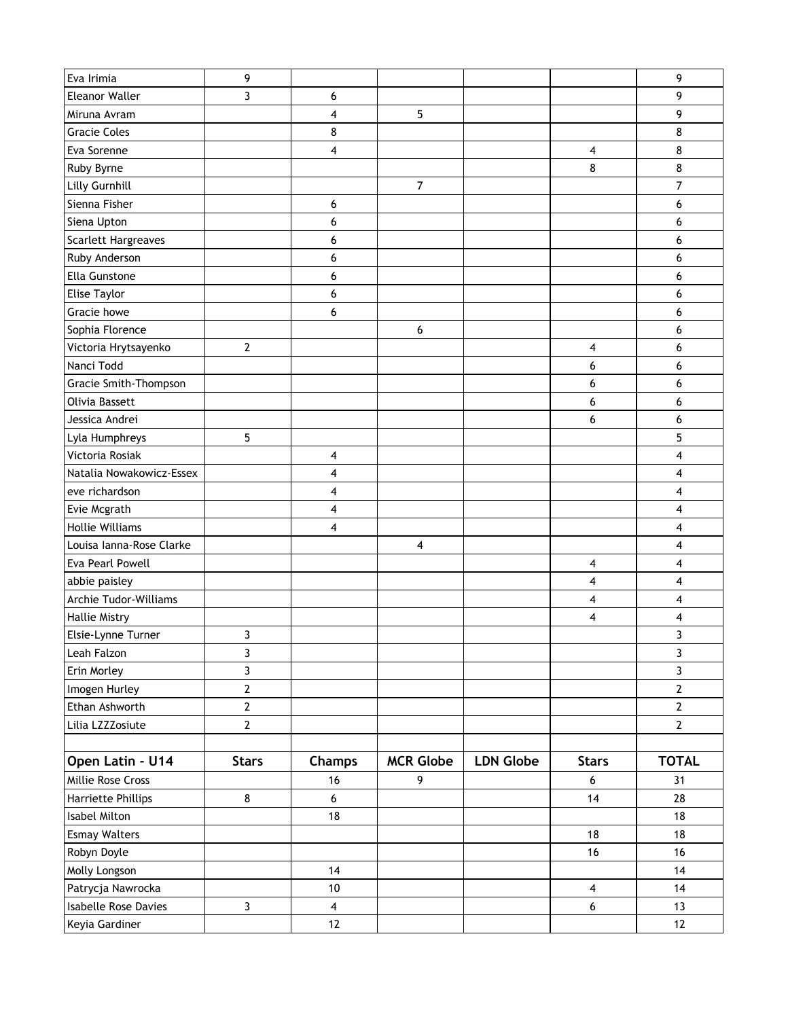| Eva Irimia                  | 9                |                         |                         |                  |                         | 9              |
|-----------------------------|------------------|-------------------------|-------------------------|------------------|-------------------------|----------------|
| <b>Eleanor Waller</b>       | 3                | 6                       |                         |                  |                         | 9              |
| Miruna Avram                |                  | 4                       | 5                       |                  |                         | 9              |
| <b>Gracie Coles</b>         |                  | 8                       |                         |                  |                         | 8              |
| Eva Sorenne                 |                  | 4                       |                         |                  | 4                       | 8              |
| Ruby Byrne                  |                  |                         |                         |                  | 8                       | 8              |
| Lilly Gurnhill              |                  |                         | 7                       |                  |                         | 7              |
| Sienna Fisher               |                  | 6                       |                         |                  |                         | 6              |
| Siena Upton                 |                  | 6                       |                         |                  |                         | 6              |
| <b>Scarlett Hargreaves</b>  |                  | 6                       |                         |                  |                         | 6              |
| Ruby Anderson               |                  | 6                       |                         |                  |                         | 6              |
| Ella Gunstone               |                  | 6                       |                         |                  |                         | 6              |
| <b>Elise Taylor</b>         |                  | 6                       |                         |                  |                         | 6              |
| Gracie howe                 |                  | 6                       |                         |                  |                         | 6              |
| Sophia Florence             |                  |                         | 6                       |                  |                         | 6              |
| Victoria Hrytsayenko        | $\boldsymbol{2}$ |                         |                         |                  | 4                       | 6              |
| Nanci Todd                  |                  |                         |                         |                  | 6                       | 6              |
| Gracie Smith-Thompson       |                  |                         |                         |                  | 6                       | 6              |
| Olivia Bassett              |                  |                         |                         |                  | 6                       | 6              |
| Jessica Andrei              |                  |                         |                         |                  | 6                       | 6              |
| Lyla Humphreys              | 5                |                         |                         |                  |                         | 5              |
| Victoria Rosiak             |                  | 4                       |                         |                  |                         | 4              |
| Natalia Nowakowicz-Essex    |                  | 4                       |                         |                  |                         | 4              |
| eve richardson              |                  | 4                       |                         |                  |                         | 4              |
| Evie Mcgrath                |                  | 4                       |                         |                  |                         | 4              |
| <b>Hollie Williams</b>      |                  | 4                       |                         |                  |                         | 4              |
| Louisa Ianna-Rose Clarke    |                  |                         | $\overline{\mathbf{4}}$ |                  |                         | 4              |
| Eva Pearl Powell            |                  |                         |                         |                  | 4                       | 4              |
| abbie paisley               |                  |                         |                         |                  | 4                       | 4              |
| Archie Tudor-Williams       |                  |                         |                         |                  | 4                       | 4              |
| <b>Hallie Mistry</b>        |                  |                         |                         |                  | 4                       | 4              |
| Elsie-Lynne Turner          | 3                |                         |                         |                  |                         | 3              |
| Leah Falzon                 | 3                |                         |                         |                  |                         | 3              |
| Erin Morley                 | 3                |                         |                         |                  |                         | $\overline{3}$ |
| Imogen Hurley               | $\mathbf{2}$     |                         |                         |                  |                         | $\overline{2}$ |
| Ethan Ashworth              | $\mathbf{2}$     |                         |                         |                  |                         | $\mathbf{2}$   |
| Lilia LZZZosiute            | $\overline{2}$   |                         |                         |                  |                         | $\mathbf{2}$   |
|                             |                  |                         |                         |                  |                         |                |
| Open Latin - U14            | <b>Stars</b>     | <b>Champs</b>           | <b>MCR Globe</b>        | <b>LDN Globe</b> | <b>Stars</b>            | <b>TOTAL</b>   |
| Millie Rose Cross           |                  | 16                      | 9                       |                  | 6                       | 31             |
| Harriette Phillips          | 8                | $\boldsymbol{6}$        |                         |                  | 14                      | 28             |
| Isabel Milton               |                  | 18                      |                         |                  |                         | 18             |
| <b>Esmay Walters</b>        |                  |                         |                         |                  | 18                      | 18             |
| Robyn Doyle                 |                  |                         |                         |                  | 16                      | 16             |
| Molly Longson               |                  | 14                      |                         |                  |                         | 14             |
| Patrycja Nawrocka           |                  | $10\,$                  |                         |                  | $\overline{\mathbf{4}}$ | 14             |
| <b>Isabelle Rose Davies</b> | $\mathbf{3}$     | $\overline{\mathbf{4}}$ |                         |                  | $\boldsymbol{6}$        | 13             |
| Keyia Gardiner              |                  | 12                      |                         |                  |                         | $12$           |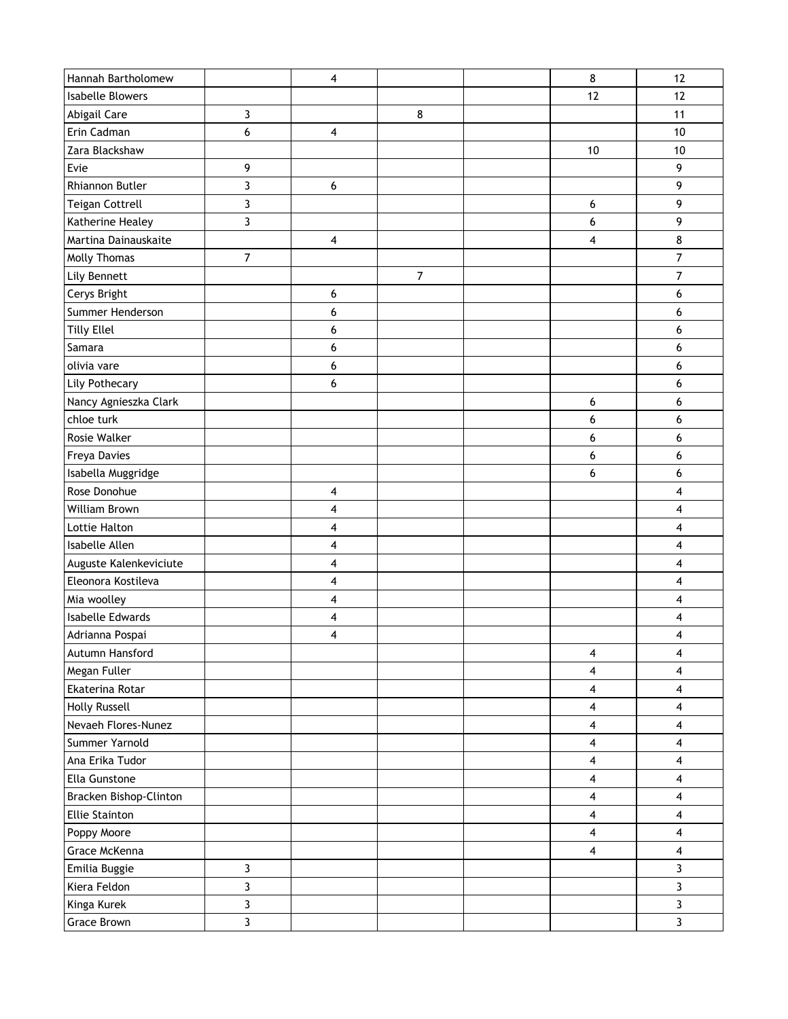| Hannah Bartholomew      |                | 4 |                | 8                       | 12                      |
|-------------------------|----------------|---|----------------|-------------------------|-------------------------|
| <b>Isabelle Blowers</b> |                |   |                | 12                      | 12                      |
| Abigail Care            | 3              |   | 8              |                         | 11                      |
| Erin Cadman             | 6              | 4 |                |                         | 10                      |
| Zara Blackshaw          |                |   |                | $10$                    | 10                      |
| Evie                    | 9              |   |                |                         | 9                       |
| Rhiannon Butler         | 3              | 6 |                |                         | 9                       |
| <b>Teigan Cottrell</b>  | 3              |   |                | 6                       | 9                       |
| Katherine Healey        | 3              |   |                | 6                       | 9                       |
| Martina Dainauskaite    |                | 4 |                | $\overline{\mathbf{4}}$ | $\bf 8$                 |
| Molly Thomas            | $\overline{7}$ |   |                |                         | $\overline{7}$          |
| Lily Bennett            |                |   | $\overline{7}$ |                         | 7                       |
| Cerys Bright            |                | 6 |                |                         | 6                       |
| Summer Henderson        |                | 6 |                |                         | 6                       |
| <b>Tilly Ellel</b>      |                | 6 |                |                         | 6                       |
| Samara                  |                | 6 |                |                         | 6                       |
| olivia vare             |                | 6 |                |                         | 6                       |
| Lily Pothecary          |                | 6 |                |                         | 6                       |
| Nancy Agnieszka Clark   |                |   |                | 6                       | 6                       |
| chloe turk              |                |   |                | 6                       | 6                       |
| Rosie Walker            |                |   |                | 6                       | 6                       |
| Freya Davies            |                |   |                | 6                       | 6                       |
| Isabella Muggridge      |                |   |                | 6                       | 6                       |
| Rose Donohue            |                | 4 |                |                         | 4                       |
| William Brown           |                | 4 |                |                         | $\overline{\mathbf{4}}$ |
| Lottie Halton           |                | 4 |                |                         | 4                       |
| Isabelle Allen          |                | 4 |                |                         | 4                       |
| Auguste Kalenkeviciute  |                | 4 |                |                         | 4                       |
| Eleonora Kostileva      |                | 4 |                |                         | 4                       |
| Mia woolley             |                | 4 |                |                         | 4                       |
| Isabelle Edwards        |                | 4 |                |                         | 4                       |
| Adrianna Pospai         |                | 4 |                |                         | 4                       |
| Autumn Hansford         |                |   |                | 4                       | $\overline{\mathbf{4}}$ |
| Megan Fuller            |                |   |                | 4                       | 4                       |
| Ekaterina Rotar         |                |   |                | $\overline{\mathbf{4}}$ | $\overline{\mathbf{4}}$ |
| <b>Holly Russell</b>    |                |   |                | $\overline{\mathbf{4}}$ | $\overline{\mathbf{4}}$ |
| Nevaeh Flores-Nunez     |                |   |                | $\overline{\mathbf{4}}$ | $\overline{\mathbf{4}}$ |
| Summer Yarnold          |                |   |                | $\overline{\mathbf{4}}$ | $\overline{\mathbf{4}}$ |
| Ana Erika Tudor         |                |   |                | $\overline{\mathbf{4}}$ | 4                       |
| Ella Gunstone           |                |   |                | $\overline{\mathbf{4}}$ | $\overline{\mathbf{4}}$ |
| Bracken Bishop-Clinton  |                |   |                | $\overline{\mathbf{4}}$ | $\overline{\mathbf{4}}$ |
| <b>Ellie Stainton</b>   |                |   |                | $\overline{\mathbf{4}}$ | 4                       |
| Poppy Moore             |                |   |                | $\overline{\mathbf{4}}$ | $\overline{\mathbf{4}}$ |
| Grace McKenna           |                |   |                | $\overline{\mathbf{4}}$ | $\overline{\mathbf{4}}$ |
| Emilia Buggie           | 3              |   |                |                         | 3                       |
| Kiera Feldon            | 3              |   |                |                         | $\overline{3}$          |
| Kinga Kurek             | 3              |   |                |                         | $\mathbf{3}$            |
| Grace Brown             | 3              |   |                |                         | $\overline{3}$          |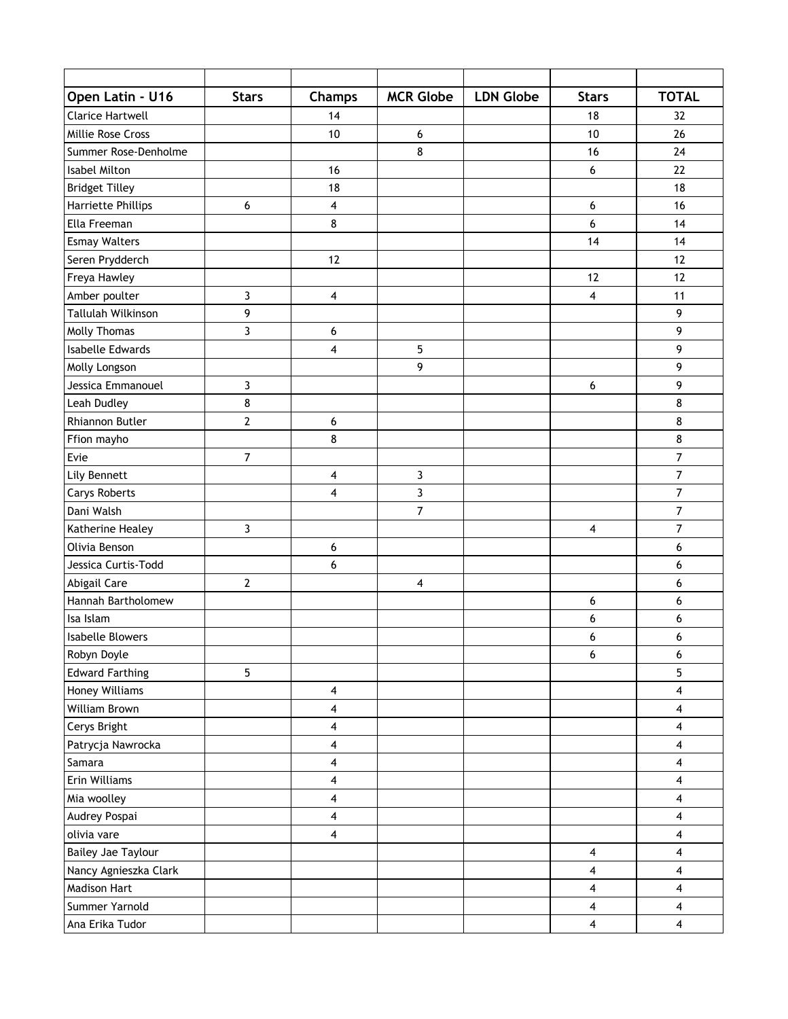| Open Latin - U16        | <b>Stars</b>   | <b>Champs</b>           | <b>MCR Globe</b>        | <b>LDN Globe</b> | <b>Stars</b>            | <b>TOTAL</b>            |
|-------------------------|----------------|-------------------------|-------------------------|------------------|-------------------------|-------------------------|
| Clarice Hartwell        |                | 14                      |                         |                  | 18                      | 32                      |
| Millie Rose Cross       |                | 10                      | 6                       |                  | 10                      | 26                      |
| Summer Rose-Denholme    |                |                         | 8                       |                  | 16                      | 24                      |
| Isabel Milton           |                | 16                      |                         |                  | 6                       | 22                      |
| <b>Bridget Tilley</b>   |                | 18                      |                         |                  |                         | 18                      |
| Harriette Phillips      | 6              | 4                       |                         |                  | 6                       | 16                      |
| Ella Freeman            |                | 8                       |                         |                  | 6                       | 14                      |
| <b>Esmay Walters</b>    |                |                         |                         |                  | 14                      | 14                      |
| Seren Prydderch         |                | 12                      |                         |                  |                         | 12                      |
| Freya Hawley            |                |                         |                         |                  | 12                      | 12                      |
| Amber poulter           | 3              | 4                       |                         |                  | $\overline{\mathbf{4}}$ | 11                      |
| Tallulah Wilkinson      | 9              |                         |                         |                  |                         | 9                       |
| Molly Thomas            | 3              | 6                       |                         |                  |                         | 9                       |
| <b>Isabelle Edwards</b> |                | 4                       | $\overline{5}$          |                  |                         | 9                       |
| Molly Longson           |                |                         | 9                       |                  |                         | 9                       |
| Jessica Emmanouel       | 3              |                         |                         |                  | 6                       | 9                       |
| Leah Dudley             | 8              |                         |                         |                  |                         | 8                       |
| Rhiannon Butler         | $\overline{2}$ | 6                       |                         |                  |                         | 8                       |
| Ffion mayho             |                | 8                       |                         |                  |                         | 8                       |
| Evie                    | $\overline{7}$ |                         |                         |                  |                         | $\overline{7}$          |
| Lily Bennett            |                | 4                       | 3                       |                  |                         | 7                       |
| <b>Carys Roberts</b>    |                | 4                       | 3                       |                  |                         | $\overline{7}$          |
| Dani Walsh              |                |                         | $\overline{7}$          |                  |                         | $\overline{7}$          |
| Katherine Healey        | 3              |                         |                         |                  | 4                       | 7                       |
| Olivia Benson           |                | 6                       |                         |                  |                         | 6                       |
| Jessica Curtis-Todd     |                | 6                       |                         |                  |                         | 6                       |
| Abigail Care            | $\mathbf{2}$   |                         | $\overline{\mathbf{4}}$ |                  |                         | 6                       |
| Hannah Bartholomew      |                |                         |                         |                  | 6                       | 6                       |
| Isa Islam               |                |                         |                         |                  | 6                       | 6                       |
| <b>Isabelle Blowers</b> |                |                         |                         |                  | 6                       | 6                       |
| Robyn Doyle             |                |                         |                         |                  | 6                       | 6                       |
| <b>Edward Farthing</b>  | 5              |                         |                         |                  |                         | 5                       |
| Honey Williams          |                | 4                       |                         |                  |                         | $\overline{\mathbf{4}}$ |
| William Brown           |                | 4                       |                         |                  |                         | 4                       |
| Cerys Bright            |                | $\overline{\mathbf{4}}$ |                         |                  |                         | $\overline{\mathbf{4}}$ |
| Patrycja Nawrocka       |                | 4                       |                         |                  |                         | $\overline{\mathbf{4}}$ |
| Samara                  |                | 4                       |                         |                  |                         | $\overline{\mathbf{4}}$ |
| Erin Williams           |                | $\overline{\mathbf{4}}$ |                         |                  |                         | $\overline{\mathbf{4}}$ |
| Mia woolley             |                | 4                       |                         |                  |                         | 4                       |
| Audrey Pospai           |                | 4                       |                         |                  |                         | 4                       |
| olivia vare             |                | $\overline{\mathbf{4}}$ |                         |                  |                         | $\overline{\mathbf{4}}$ |
| Bailey Jae Taylour      |                |                         |                         |                  | $\overline{\mathbf{4}}$ | $\overline{\mathbf{4}}$ |
| Nancy Agnieszka Clark   |                |                         |                         |                  | $\overline{\mathbf{4}}$ | 4                       |
| <b>Madison Hart</b>     |                |                         |                         |                  | $\overline{\mathbf{4}}$ | $\overline{\mathbf{4}}$ |
| Summer Yarnold          |                |                         |                         |                  | $\overline{\mathbf{4}}$ | $\overline{\mathbf{4}}$ |
| Ana Erika Tudor         |                |                         |                         |                  | $\overline{\mathbf{4}}$ | $\overline{\mathbf{4}}$ |